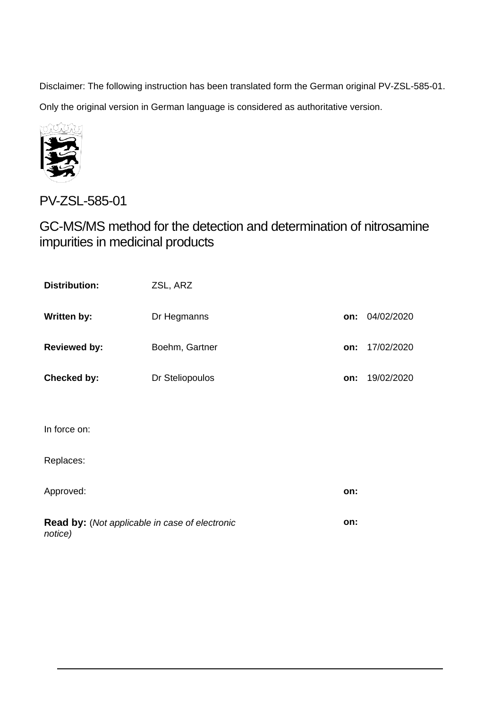Disclaimer: The following instruction has been translated form the German original PV-ZSL-585-01.

Only the original version in German language is considered as authoritative version.



PV-ZSL-585-01

GC-MS/MS method for the detection and determination of nitrosamine impurities in medicinal products

| <b>Distribution:</b>                                             | ZSL, ARZ        |     |            |
|------------------------------------------------------------------|-----------------|-----|------------|
| <b>Written by:</b>                                               | Dr Hegmanns     | on: | 04/02/2020 |
| <b>Reviewed by:</b>                                              | Boehm, Gartner  | on: | 17/02/2020 |
| Checked by:                                                      | Dr Steliopoulos | on: | 19/02/2020 |
|                                                                  |                 |     |            |
| In force on:                                                     |                 |     |            |
| Replaces:                                                        |                 |     |            |
| Approved:                                                        |                 | on: |            |
| <b>Read by:</b> (Not applicable in case of electronic<br>notice) |                 |     |            |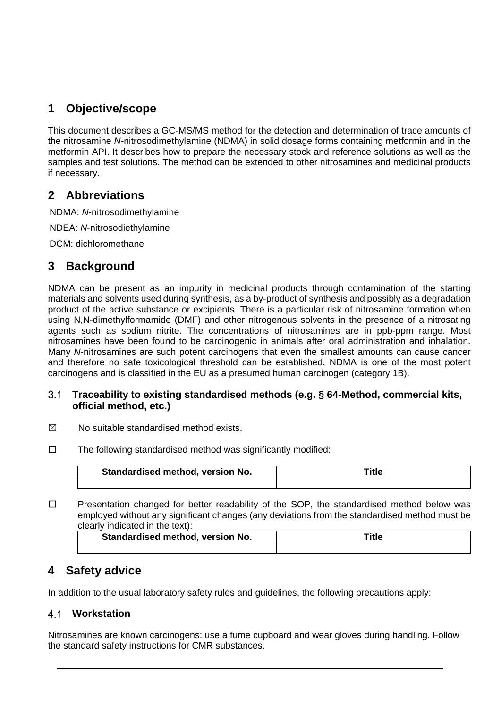# **1 Objective/scope**

This document describes a GC-MS/MS method for the detection and determination of trace amounts of the nitrosamine *N*-nitrosodimethylamine (NDMA) in solid dosage forms containing metformin and in the metformin API. It describes how to prepare the necessary stock and reference solutions as well as the samples and test solutions. The method can be extended to other nitrosamines and medicinal products if necessary.

# **2 Abbreviations**

NDMA: *N*-nitrosodimethylamine

NDEA: *N*-nitrosodiethylamine

DCM: dichloromethane

# **3 Background**

NDMA can be present as an impurity in medicinal products through contamination of the starting materials and solvents used during synthesis, as a by-product of synthesis and possibly as a degradation product of the active substance or excipients. There is a particular risk of nitrosamine formation when using N,N-dimethylformamide (DMF) and other nitrogenous solvents in the presence of a nitrosating agents such as sodium nitrite. The concentrations of nitrosamines are in ppb-ppm range. Most nitrosamines have been found to be carcinogenic in animals after oral administration and inhalation. Many *N*-nitrosamines are such potent carcinogens that even the smallest amounts can cause cancer and therefore no safe toxicological threshold can be established. NDMA is one of the most potent carcinogens and is classified in the EU as a presumed human carcinogen (category 1B).

#### **Traceability to existing standardised methods (e.g. § 64-Method, commercial kits,**   $3.1$ **official method, etc.)**

- $\boxtimes$  No suitable standardised method exists.
- $\square$  The following standardised method was significantly modified:

| Standardised method, version No. | ¨itl∈ |  |
|----------------------------------|-------|--|
|                                  |       |  |

□ Presentation changed for better readability of the SOP, the standardised method below was employed without any significant changes (any deviations from the standardised method must be clearly indicated in the text):

| Standardised method, version No. | 'itle |
|----------------------------------|-------|
|                                  |       |

# **4 Safety advice**

In addition to the usual laboratory safety rules and guidelines, the following precautions apply:

## **Workstation**

Nitrosamines are known carcinogens: use a fume cupboard and wear gloves during handling. Follow the standard safety instructions for CMR substances.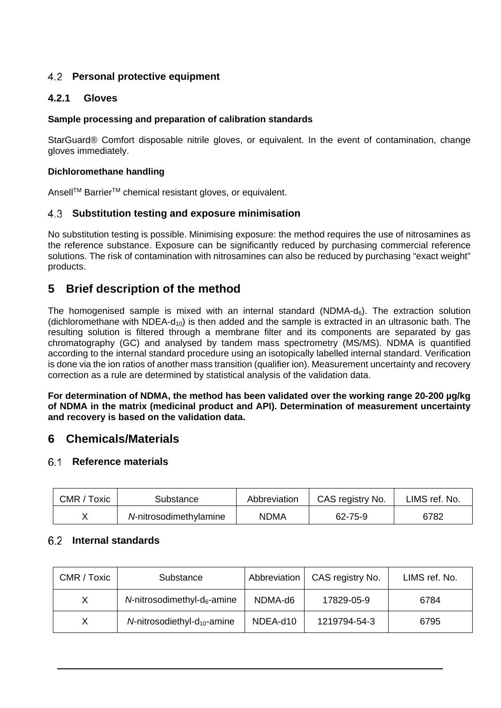# **Personal protective equipment**

### **4.2.1 Gloves**

#### **Sample processing and preparation of calibration standards**

StarGuard® Comfort disposable nitrile gloves, or equivalent. In the event of contamination, change gloves immediately.

#### **Dichloromethane handling**

Ansell™ Barrier<sup>™</sup> chemical resistant gloves, or equivalent.

#### **Substitution testing and exposure minimisation**

No substitution testing is possible. Minimising exposure: the method requires the use of nitrosamines as the reference substance. Exposure can be significantly reduced by purchasing commercial reference solutions. The risk of contamination with nitrosamines can also be reduced by purchasing "exact weight" products.

# **5 Brief description of the method**

The homogenised sample is mixed with an internal standard (NDMA- $d_6$ ). The extraction solution (dichloromethane with NDEA- $d_{10}$ ) is then added and the sample is extracted in an ultrasonic bath. The resulting solution is filtered through a membrane filter and its components are separated by gas chromatography (GC) and analysed by tandem mass spectrometry (MS/MS). NDMA is quantified according to the internal standard procedure using an isotopically labelled internal standard. Verification is done via the ion ratios of another mass transition (qualifier ion). Measurement uncertainty and recovery correction as a rule are determined by statistical analysis of the validation data.

**For determination of NDMA, the method has been validated over the working range 20-200 µg/kg of NDMA in the matrix (medicinal product and API). Determination of measurement uncertainty and recovery is based on the validation data.**

# **6 Chemicals/Materials**

#### **Reference materials**

| CMR / Toxic | Substance              | Abbreviation | CAS registry No. | LIMS ref. No. |
|-------------|------------------------|--------------|------------------|---------------|
|             | N-nitrosodimethylamine | NDMA         | 62-75-9          | 6782          |

#### **Internal standards**

| CMR / Toxic | Substance                                  | Abbreviation | CAS registry No. | LIMS ref. No. |
|-------------|--------------------------------------------|--------------|------------------|---------------|
| X.          | $N$ -nitrosodimethyl-d $_6$ -amine         | NDMA-d6      | 17829-05-9       | 6784          |
| X           | $N$ -nitrosodiethyl-d <sub>10</sub> -amine | NDEA-d10     | 1219794-54-3     | 6795          |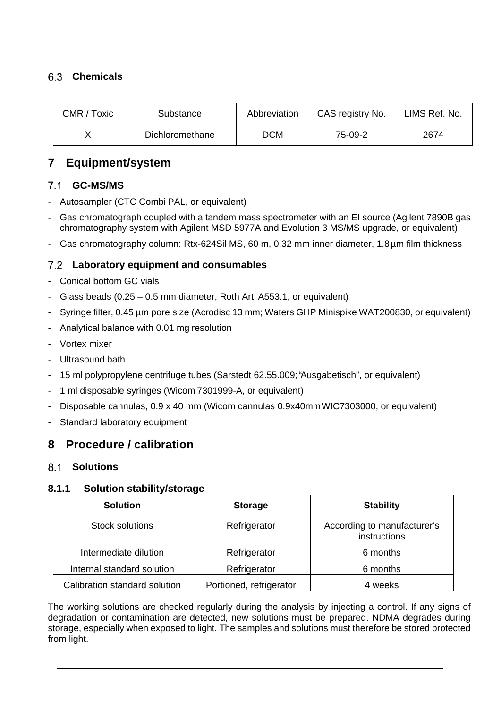# **Chemicals**

| CMR / Toxic | Substance       | Abbreviation | CAS registry No. | LIMS Ref. No. |
|-------------|-----------------|--------------|------------------|---------------|
|             | Dichloromethane | DCM          | 75-09-2          | 2674          |

# **7 Equipment/system**

# **GC-MS/MS**

- Autosampler (CTC Combi PAL, or equivalent)
- Gas chromatograph coupled with a tandem mass spectrometer with an EI source (Agilent 7890B gas chromatography system with Agilent MSD 5977A and Evolution 3 MS/MS upgrade, or equivalent)
- Gas chromatography column: Rtx-624Sil MS, 60 m, 0.32 mm inner diameter, 1.8µm film thickness

## **Laboratory equipment and consumables**

- Conical bottom GC vials
- Glass beads (0.25 0.5 mm diameter, Roth Art. A553.1, or equivalent)
- Syringe filter, 0.45 µm pore size (Acrodisc 13 mm; Waters GHP Minispike WAT200830, or equivalent)
- Analytical balance with 0.01 mg resolution
- Vortex mixer
- Ultrasound bath
- 15 ml polypropylene centrifuge tubes (Sarstedt 62.55.009;"Ausgabetisch", or equivalent)
- 1 ml disposable syringes (Wicom 7301999-A, or equivalent)
- Disposable cannulas, 0.9 x 40 mm (Wicom cannulas 0.9x40mmWIC7303000, or equivalent)
- Standard laboratory equipment

# **8 Procedure / calibration**

#### **Solutions**

#### **8.1.1 Solution stability/storage**

| <b>Solution</b>               | <b>Storage</b>          | <b>Stability</b>                            |
|-------------------------------|-------------------------|---------------------------------------------|
| <b>Stock solutions</b>        | Refrigerator            | According to manufacturer's<br>instructions |
| Intermediate dilution         | Refrigerator            | 6 months                                    |
| Internal standard solution    | Refrigerator            | 6 months                                    |
| Calibration standard solution | Portioned, refrigerator | 4 weeks                                     |

The working solutions are checked regularly during the analysis by injecting a control. If any signs of degradation or contamination are detected, new solutions must be prepared. NDMA degrades during storage, especially when exposed to light. The samples and solutions must therefore be stored protected from light.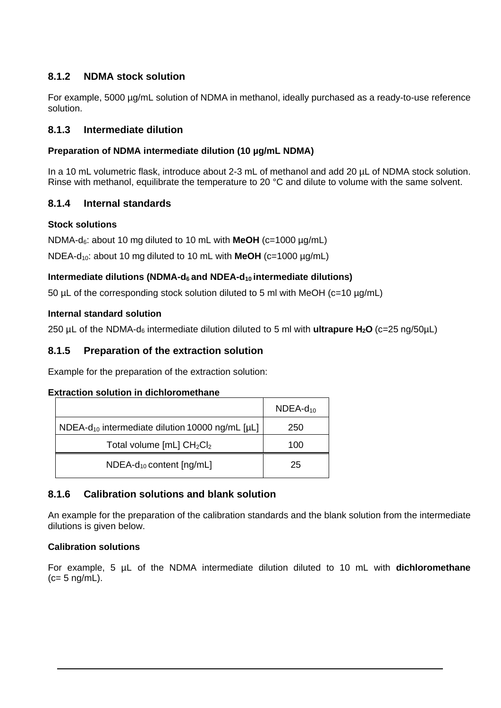# **8.1.2 NDMA stock solution**

For example, 5000 µg/mL solution of NDMA in methanol, ideally purchased as a ready-to-use reference solution.

### **8.1.3 Intermediate dilution**

#### **Preparation of NDMA intermediate dilution (10 µg/mL NDMA)**

In a 10 mL volumetric flask, introduce about 2-3 mL of methanol and add 20 µL of NDMA stock solution. Rinse with methanol, equilibrate the temperature to 20 °C and dilute to volume with the same solvent.

#### **8.1.4 Internal standards**

#### **Stock solutions**

NDMA-d6: about 10 mg diluted to 10 mL with **MeOH** (c=1000 µg/mL)

NDEA-d10: about 10 mg diluted to 10 mL with **MeOH** (c=1000 µg/mL)

#### **Intermediate dilutions (NDMA-d6 and NDEA-d10 intermediate dilutions)**

50 µL of the corresponding stock solution diluted to 5 ml with MeOH (c=10 µg/mL)

#### **Internal standard solution**

250 µL of the NDMA-d6 intermediate dilution diluted to 5 ml with **ultrapure H2O** (c=25 ng/50µL)

### **8.1.5 Preparation of the extraction solution**

Example for the preparation of the extraction solution:

#### **Extraction solution in dichloromethane**

|                                                             | $NDEA-d_{10}$ |
|-------------------------------------------------------------|---------------|
| NDEA- $d_{10}$ intermediate dilution 10000 ng/mL [ $\mu$ L] | 250           |
| Total volume $[mL] CH2Cl2$                                  | 100           |
| $NDEA-d_{10}$ content $[ng/mL]$                             | 25            |

## **8.1.6 Calibration solutions and blank solution**

An example for the preparation of the calibration standards and the blank solution from the intermediate dilutions is given below.

#### **Calibration solutions**

For example, 5 µL of the NDMA intermediate dilution diluted to 10 mL with **dichloromethane**  $(c= 5 \text{ ng/mL}).$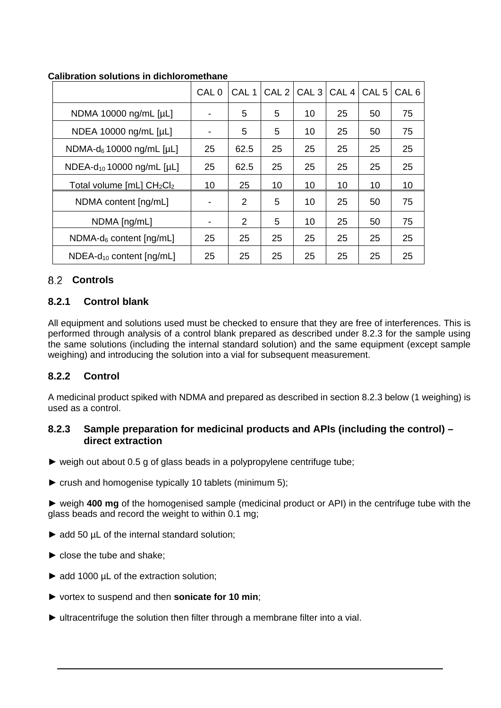|                                       | CAL <sub>0</sub> | CAL <sub>1</sub> | CAL <sub>2</sub> | $ $ CAL 3 | CAL <sub>4</sub> | CAL <sub>5</sub> | CAL 6 |
|---------------------------------------|------------------|------------------|------------------|-----------|------------------|------------------|-------|
| NDMA 10000 ng/mL [µL]                 |                  | 5                | 5                | 10        | 25               | 50               | 75    |
| NDEA 10000 ng/mL [µL]                 |                  | 5                | 5                | 10        | 25               | 50               | 75    |
| NDMA- $d_6$ 10000 ng/mL [µL]          | 25               | 62.5             | 25               | 25        | 25               | 25               | 25    |
| NDEA-d <sub>10</sub> 10000 ng/mL [µL] | 25               | 62.5             | 25               | 25        | 25               | 25               | 25    |
| Total volume $[mL] CH2Cl2$            | 10               | 25               | 10               | 10        | 10               | 10               | 10    |
| NDMA content [ng/mL]                  |                  | 2                | 5                | 10        | 25               | 50               | 75    |
| NDMA [ng/mL]                          |                  | 2                | 5                | 10        | 25               | 50               | 75    |
| $NDMA-d6 content [ng/mL]$             | 25               | 25               | 25               | 25        | 25               | 25               | 25    |
| $NDEA-d_{10}$ content $[nq/mL]$       | 25               | 25               | 25               | 25        | 25               | 25               | 25    |

#### **Calibration solutions in dichloromethane**

## **Controls**

### <span id="page-5-0"></span>**8.2.1 Control blank**

All equipment and solutions used must be checked to ensure that they are free of interferences. This is performed through analysis of a control blank prepared as described under 8.2.3 for the sample using the same solutions (including the internal standard solution) and the same equipment (except sample weighing) and introducing the solution into a vial for subsequent measurement.

## <span id="page-5-1"></span>**8.2.2 Control**

A medicinal product spiked with NDMA and prepared as described in section 8.2.3 below (1 weighing) is used as a control.

#### **8.2.3 Sample preparation for medicinal products and APIs (including the control) – direct extraction**

- $\triangleright$  weigh out about 0.5 g of glass beads in a polypropylene centrifuge tube;
- ► crush and homogenise typically 10 tablets (minimum 5);

► weigh **400 mg** of the homogenised sample (medicinal product or API) in the centrifuge tube with the glass beads and record the weight to within 0.1 mg;

- ► add 50 µL of the internal standard solution;
- $\blacktriangleright$  close the tube and shake:
- ► add 1000 µL of the extraction solution;
- ► vortex to suspend and then **sonicate for 10 min**;
- ► ultracentrifuge the solution then filter through a membrane filter into a vial.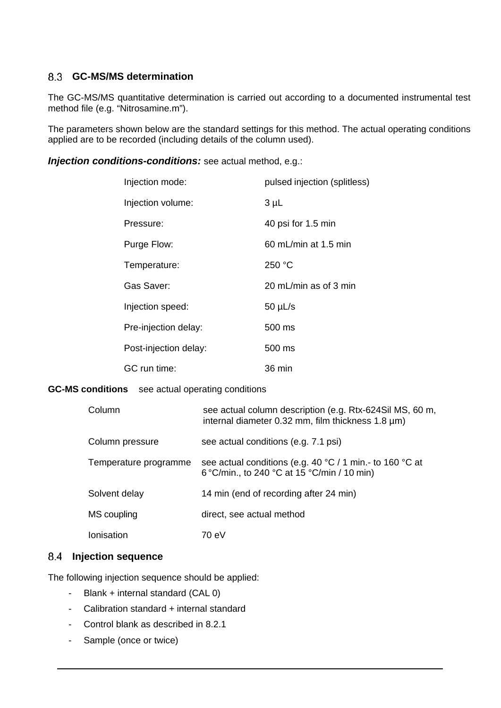### **GC-MS/MS determination**

The GC-MS/MS quantitative determination is carried out according to a documented instrumental test method file (e.g. "Nitrosamine.m").

The parameters shown below are the standard settings for this method. The actual operating conditions applied are to be recorded (including details of the column used).

*Injection conditions-conditions:* see actual method, e.g.:

| Injection mode:       | pulsed injection (splitless) |
|-----------------------|------------------------------|
| Injection volume:     | $3 \mu L$                    |
| Pressure:             | 40 psi for 1.5 min           |
| Purge Flow:           | $60$ mL/min at 1.5 min       |
| Temperature:          | 250 °C                       |
| Gas Saver:            | 20 mL/min as of 3 min        |
| Injection speed:      | $50 \mu L/s$                 |
| Pre-injection delay:  | 500 ms                       |
| Post-injection delay: | $500 \text{ ms}$             |
| GC run time:          | 36 min                       |

#### **GC-MS conditions** see actual operating conditions

| Column                | see actual column description (e.g. Rtx-624Sil MS, 60 m,<br>internal diameter $0.32$ mm, film thickness $1.8 \mu m$ )       |
|-----------------------|-----------------------------------------------------------------------------------------------------------------------------|
| Column pressure       | see actual conditions (e.g. 7.1 psi)                                                                                        |
| Temperature programme | see actual conditions (e.g. 40 $^{\circ}$ C / 1 min.- to 160 $^{\circ}$ C at<br>6 °C/min., to 240 °C at 15 °C/min / 10 min) |
| Solvent delay         | 14 min (end of recording after 24 min)                                                                                      |
| MS coupling           | direct, see actual method                                                                                                   |
| Ionisation            | 70 eV                                                                                                                       |

#### 8.4 Injection sequence

The following injection sequence should be applied:

- Blank + internal standard (CAL 0)
- Calibration standard + internal standard
- Control blank as described in [8.2.1](#page-5-0)
- Sample (once or twice)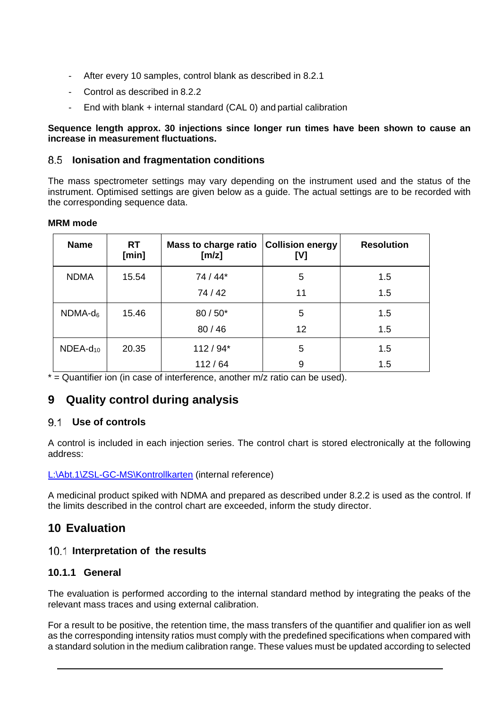- After every 10 samples, control blank as described in [8.2.1](#page-5-0)
- Control as described in [8.2.2](#page-5-1)
- End with blank  $+$  internal standard (CAL 0) and partial calibration

#### **Sequence length approx. 30 injections since longer run times have been shown to cause an increase in measurement fluctuations.**

#### **Ionisation and fragmentation conditions**

The mass spectrometer settings may vary depending on the instrument used and the status of the instrument. Optimised settings are given below as a guide. The actual settings are to be recorded with the corresponding sequence data.

#### **MRM mode**

| <b>Name</b>   | <b>RT</b><br>[min] | <b>Mass to charge ratio</b><br>[m/z] | <b>Collision energy</b><br>[V] | <b>Resolution</b> |
|---------------|--------------------|--------------------------------------|--------------------------------|-------------------|
| <b>NDMA</b>   | 15.54              | 74 / 44*                             | 5                              | 1.5               |
|               |                    | 74 / 42                              | 11                             | 1.5               |
| $NDMA-d_6$    | 15.46              | $80/50*$                             | 5                              | 1.5               |
|               |                    | 80/46                                | 12                             | 1.5               |
| $NDEA-d_{10}$ | 20.35              | $112/94*$                            | 5                              | 1.5               |
|               |                    | 112/64                               | 9                              | 1.5               |

 $*$  = Quantifier ion (in case of interference, another m/z ratio can be used).

# **9 Quality control during analysis**

#### **Use of controls**

A control is included in each injection series. The control chart is stored electronically at the following address:

#### L:\Abt.1\ZSL-GC-MS\Kontrollkarten (internal reference)

A medicinal product spiked with NDMA and prepared as described under [8.2.2](#page-5-1) is used as the control. If the limits described in the control chart are exceeded, inform the study director.

## **10 Evaluation**

#### **Interpretation of the results**

#### **10.1.1 General**

The evaluation is performed according to the internal standard method by integrating the peaks of the relevant mass traces and using external calibration.

For a result to be positive, the retention time, the mass transfers of the quantifier and qualifier ion as well as the corresponding intensity ratios must comply with the predefined specifications when compared with a standard solution in the medium calibration range. These values must be updated according to selected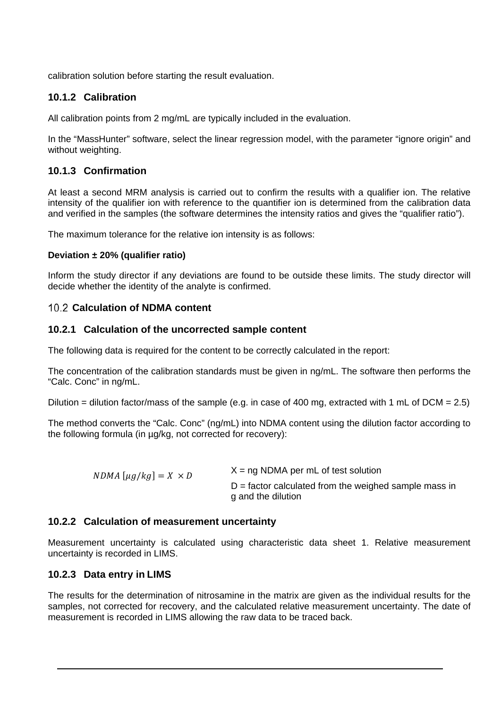calibration solution before starting the result evaluation.

### **10.1.2 Calibration**

All calibration points from 2 mg/mL are typically included in the evaluation.

In the "MassHunter" software, select the linear regression model, with the parameter "ignore origin" and without weighting.

### **10.1.3 Confirmation**

At least a second MRM analysis is carried out to confirm the results with a qualifier ion. The relative intensity of the qualifier ion with reference to the quantifier ion is determined from the calibration data and verified in the samples (the software determines the intensity ratios and gives the "qualifier ratio").

The maximum tolerance for the relative ion intensity is as follows:

#### **Deviation ± 20% (qualifier ratio)**

Inform the study director if any deviations are found to be outside these limits. The study director will decide whether the identity of the analyte is confirmed.

#### **Calculation of NDMA content**

#### **10.2.1 Calculation of the uncorrected sample content**

The following data is required for the content to be correctly calculated in the report:

The concentration of the calibration standards must be given in ng/mL. The software then performs the "Calc. Conc" in ng/mL.

Dilution = dilution factor/mass of the sample (e.g. in case of 400 mg, extracted with 1 mL of DCM = 2.5)

The method converts the "Calc. Conc" (ng/mL) into NDMA content using the dilution factor according to the following formula (in µg/kg, not corrected for recovery):

| $NDMA \left[\mu g / kg\right] = X \times D$ | $X = ng NDMA$ per mL of test solution                                         |
|---------------------------------------------|-------------------------------------------------------------------------------|
|                                             | $D =$ factor calculated from the weighed sample mass in<br>g and the dilution |

#### **10.2.2 Calculation of measurement uncertainty**

Measurement uncertainty is calculated using characteristic data sheet 1. Relative measurement uncertainty is recorded in LIMS.

#### **10.2.3 Data entry in LIMS**

The results for the determination of nitrosamine in the matrix are given as the individual results for the samples, not corrected for recovery, and the calculated relative measurement uncertainty. The date of measurement is recorded in LIMS allowing the raw data to be traced back.